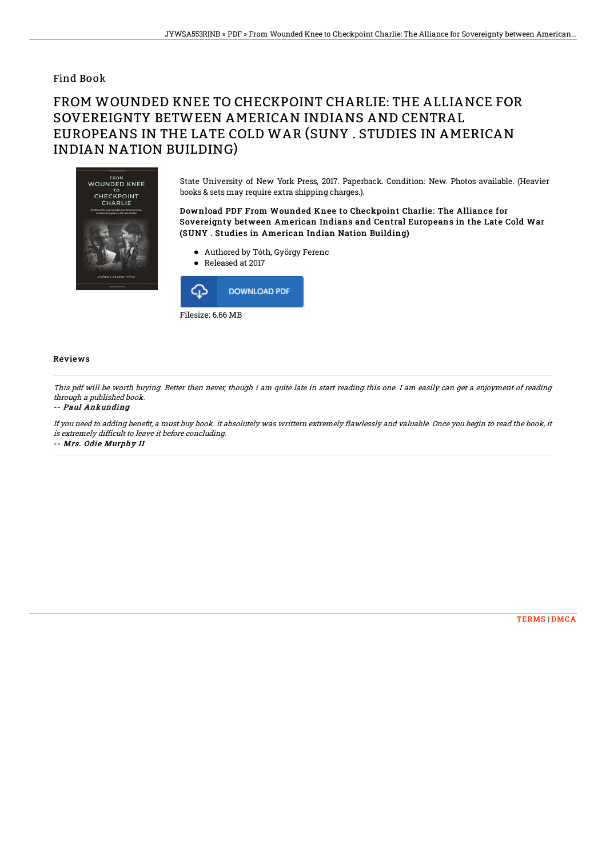### Find Book

# FROM WOUNDED KNEE TO CHECKPOINT CHARLIE: THE ALLIANCE FOR SOVEREIGNTY BETWEEN AMERICAN INDIANS AND CENTRAL EUROPEANS IN THE LATE COLD WAR (SUNY . STUDIES IN AMERICAN INDIAN NATION BUILDING)



State University of New York Press, 2017. Paperback. Condition: New. Photos available. (Heavier books & sets may require extra shipping charges.).

#### Download PDF From Wounded Knee to Checkpoint Charlie: The Alliance for Sovereignty between American Indians and Central Europeans in the Late Cold War (SUNY . Studies in American Indian Nation Building)

- Authored by Tóth, György Ferenc
- Released at 2017



#### Reviews

This pdf will be worth buying. Better then never, though i am quite late in start reading this one. I am easily can get <sup>a</sup> enjoyment of reading through <sup>a</sup> published book.

#### -- Paul Ankunding

If you need to adding benefit, a must buy book. it absolutely was writtern extremely flawlessly and valuable. Once you begin to read the book, it is extremely difficult to leave it before concluding. -- Mrs. Odie Murphy II